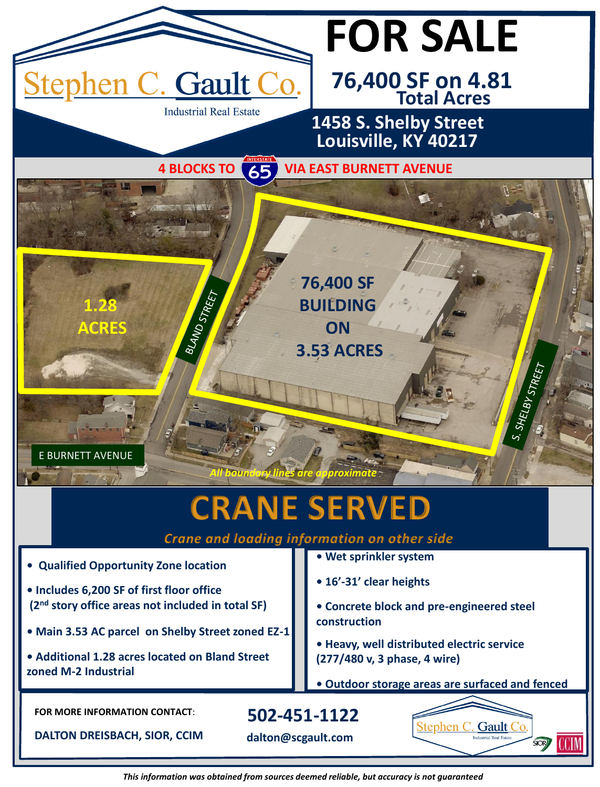## **FOR SALE**

#### **76,400 SF on 4.81 Total Acres**

**1458 S. Shelby Street Louisville, KY 40217**

**4 BLOCKS TO 65 VIA EAST BURNETT AVENUE** 

Stephen C. Gault Co.

**Industrial Real Estate** 



## **CRANE SERVED**

#### *Crane and loading information on other side*  **• Wet sprinkler system • Qualified Opportunity Zone location • 16'-31' clear heights • Includes 6,200 SF of first floor office (2nd story office areas not included in total SF) • Concrete block and pre-engineered steel construction • Main 3.53 AC parcel on Shelby Street zoned EZ-1 • Heavy, well distributed electric service • Additional 1.28 acres located on Bland Street (277/480 v, 3 phase, 4 wire) zoned M-2 Industrial • Outdoor storage areas are surfaced and fenced FOR MORE INFORMATION CONTACT**: **502-451-1122** '. Gault **DALTON DREISBACH, SIOR, CCIM dalton@scgault.com**  $SOR$

*This information was obtained from sources deemed reliable, but accuracy is not guaranteed*